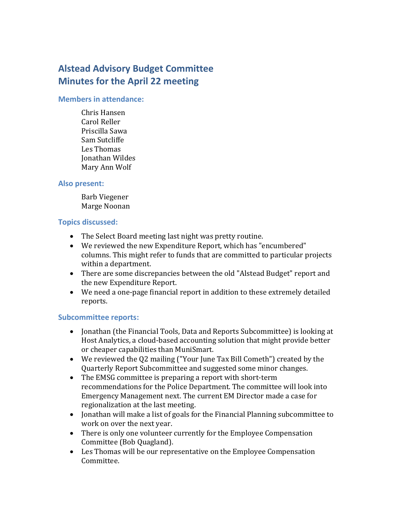# **Alstead Advisory Budget Committee Minutes for the April 22 meeting**

#### **Members in attendance:**

Chris Hansen Carol Reller Priscilla Sawa Sam Sutcliffe Les Thomas Jonathan Wildes Mary Ann Wolf

#### **Also present:**

Barb Viegener Marge Noonan

#### **Topics discussed:**

- The Select Board meeting last night was pretty routine.
- We reviewed the new Expenditure Report, which has "encumbered" columns. This might refer to funds that are committed to particular projects within a department.
- There are some discrepancies between the old "Alstead Budget" report and the new Expenditure Report.
- We need a one-page financial report in addition to these extremely detailed reports.

#### **Subcommittee reports:**

- Jonathan (the Financial Tools, Data and Reports Subcommittee) is looking at Host Analytics, a cloud-based accounting solution that might provide better or cheaper capabilities than MuniSmart.
- We reviewed the Q2 mailing ("Your June Tax Bill Cometh") created by the Quarterly Report Subcommittee and suggested some minor changes.
- The EMSG committee is preparing a report with short-term recommendations for the Police Department. The committee will look into Emergency Management next. The current EM Director made a case for regionalization at the last meeting.
- Jonathan will make a list of goals for the Financial Planning subcommittee to work on over the next year.
- There is only one volunteer currently for the Employee Compensation Committee (Bob Quagland).
- Les Thomas will be our representative on the Employee Compensation Committee.